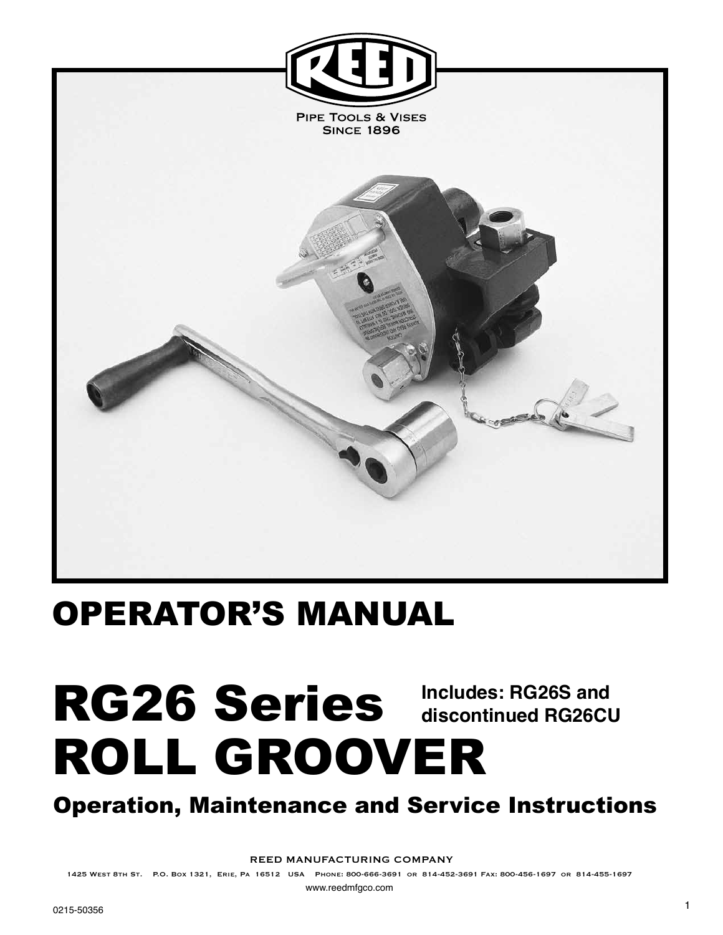

# OPERATOR'S MANUAL

# RG26 Series Includes: RG26S and ROLL GROOVER **discontinued RG26CU**

Operation, Maintenance and Service Instructions

REED MANUFACTURING COMPANY

1425 West 8th St. P.O. Box 1321, Erie, Pa 16512 USA Phone: 800-666-3691 or 814-452-3691 Fax: 800-456-1697 or 814-455-1697 www.reedmfgco.com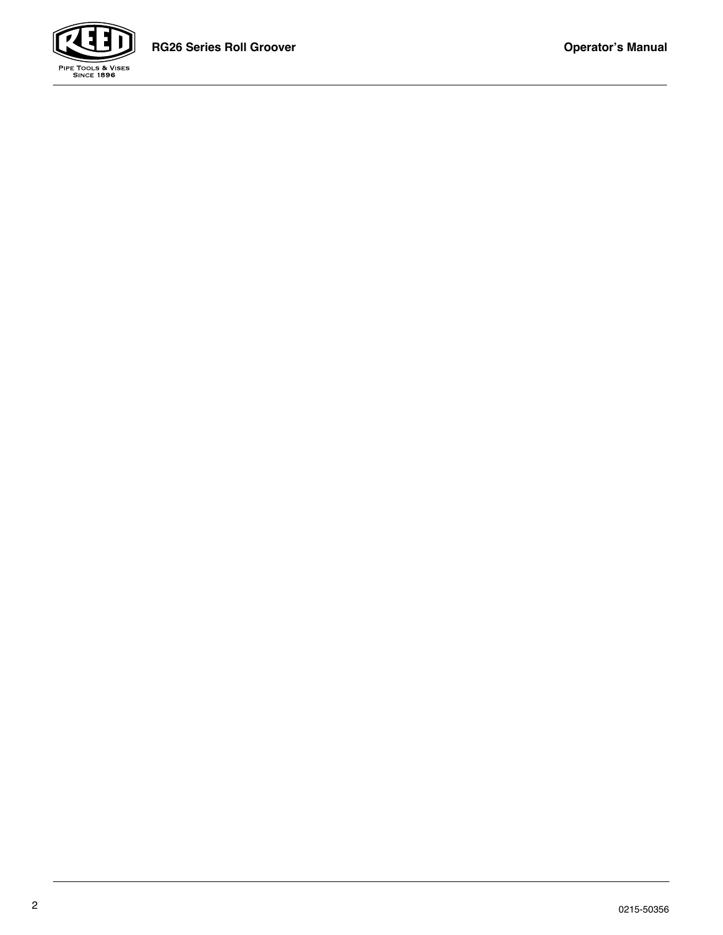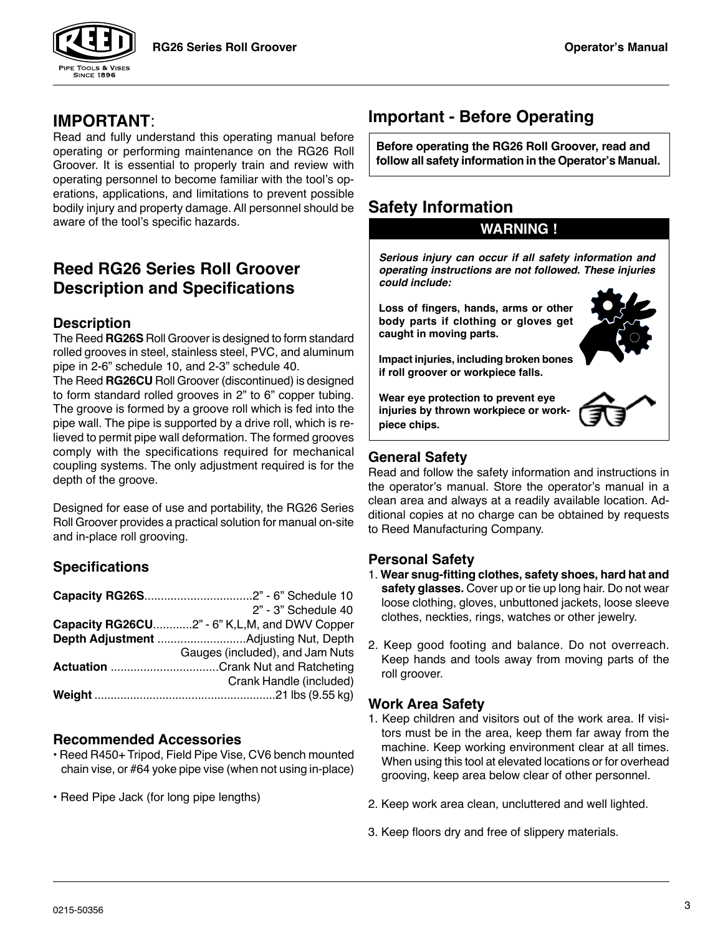



# **IMPORTANT**:

Read and fully understand this operating manual before operating or performing maintenance on the RG26 Roll Groover. It is essential to properly train and review with operating personnel to become familiar with the tool's operations, applications, and limitations to prevent possible bodily injury and property damage. All personnel should be aware of the tool's specific hazards.

# **Reed RG26 Series Roll Groover Description and Specifications**

#### **Description**

The Reed **RG26S** Roll Groover is designed to form standard rolled grooves in steel, stainless steel, PVC, and aluminum pipe in 2-6" schedule 10, and 2-3" schedule 40.

The Reed **RG26CU** Roll Groover (discontinued) is designed to form standard rolled grooves in 2" to 6" copper tubing. The groove is formed by a groove roll which is fed into the pipe wall. The pipe is supported by a drive roll, which is relieved to permit pipe wall deformation. The formed grooves comply with the specifications required for mechanical coupling systems. The only adjustment required is for the depth of the groove.

Designed for ease of use and portability, the RG26 Series Roll Groover provides a practical solution for manual on-site and in-place roll grooving.

#### **Specifications**

| 2" - 3" Schedule 40                            |
|------------------------------------------------|
| Capacity RG26CU2" - 6" K, L, M, and DWV Copper |
|                                                |
| Gauges (included), and Jam Nuts                |
| Actuation Crank Nut and Ratcheting             |
| Crank Handle (included)                        |
|                                                |
|                                                |

#### **Recommended Accessories**

- Reed R450+ Tripod, Field Pipe Vise, CV6 bench mounted chain vise, or #64 yoke pipe vise (when not using in-place)
- Reed Pipe Jack (for long pipe lengths)

# **Important - Before Operating**

**Before operating the RG26 Roll Groover, read and follow all safety information in the Operator's Manual.**

# **Safety Information**

#### **WARNING !**

*Serious injury can occur if all safety information and operating instructions are not followed. These injuries could include:*

**Loss of fingers, hands, arms or other body parts if clothing or gloves get caught in moving parts.**



**Impact injuries, including broken bones if roll groover or workpiece falls.**

**Wear eye protection to prevent eye injuries by thrown workpiece or workpiece chips.**

### **General Safety**

Read and follow the safety information and instructions in the operator's manual. Store the operator's manual in a clean area and always at a readily available location. Additional copies at no charge can be obtained by requests to Reed Manufacturing Company.

#### **Personal Safety**

- 1. **Wear snug-fitting clothes, safety shoes, hard hat and safety glasses.** Cover up or tie up long hair. Do not wear loose clothing, gloves, unbuttoned jackets, loose sleeve clothes, neckties, rings, watches or other jewelry.
- 2. Keep good footing and balance. Do not overreach. Keep hands and tools away from moving parts of the roll groover.

#### **Work Area Safety**

- 1. Keep children and visitors out of the work area. If visitors must be in the area, keep them far away from the machine. Keep working environment clear at all times. When using this tool at elevated locations or for overhead grooving, keep area below clear of other personnel.
- 2. Keep work area clean, uncluttered and well lighted.
- 3. Keep floors dry and free of slippery materials.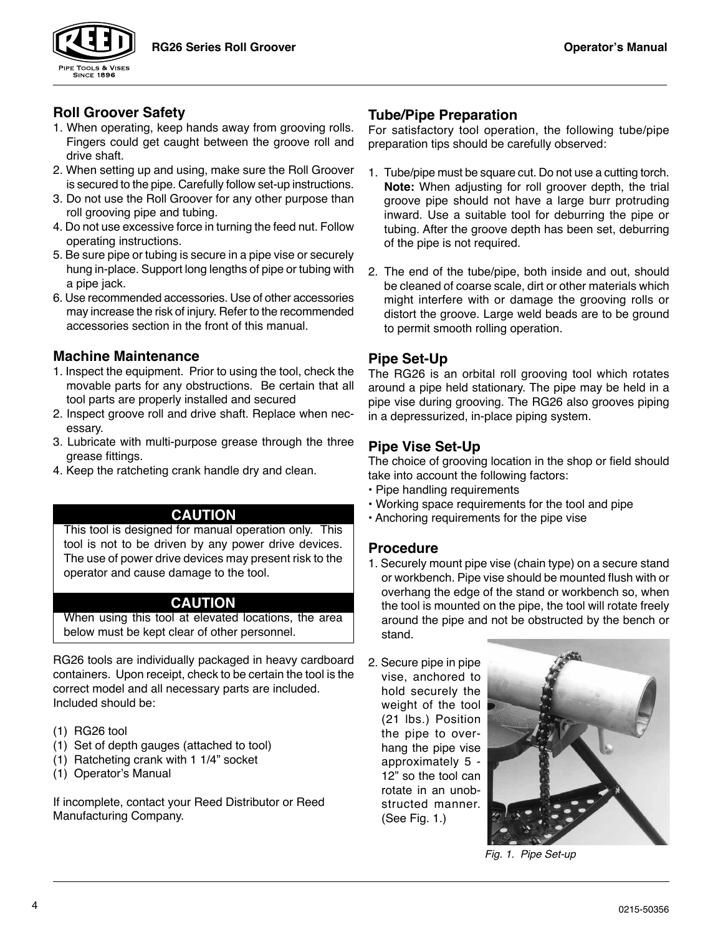

#### **Roll Groover Safety**

- 1. When operating, keep hands away from grooving rolls. Fingers could get caught between the groove roll and drive shaft.
- 2. When setting up and using, make sure the Roll Groover is secured to the pipe. Carefully follow set-up instructions.
- 3. Do not use the Roll Groover for any other purpose than roll grooving pipe and tubing.
- 4. Do not use excessive force in turning the feed nut. Follow operating instructions.
- 5. Be sure pipe or tubing is secure in a pipe vise or securely hung in-place. Support long lengths of pipe or tubing with a pipe jack.
- 6. Use recommended accessories. Use of other accessories may increase the risk of injury. Refer to the recommended accessories section in the front of this manual.

#### **Machine Maintenance**

- 1. Inspect the equipment. Prior to using the tool, check the movable parts for any obstructions. Be certain that all tool parts are properly installed and secured
- 2. Inspect groove roll and drive shaft. Replace when necessary.
- 3. Lubricate with multi-purpose grease through the three grease fittings.
- 4. Keep the ratcheting crank handle dry and clean.

#### **CAUTION**

This tool is designed for manual operation only. This tool is not to be driven by any power drive devices. The use of power drive devices may present risk to the operator and cause damage to the tool.

#### **CAUTION**

When using this tool at elevated locations, the area below must be kept clear of other personnel.

RG26 tools are individually packaged in heavy cardboard containers. Upon receipt, check to be certain the tool is the correct model and all necessary parts are included. Included should be:

- (1) RG26 tool
- (1) Set of depth gauges (attached to tool)
- (1) Ratcheting crank with 1 1/4" socket
- (1) Operator's Manual

If incomplete, contact your Reed Distributor or Reed Manufacturing Company.

#### **Tube/Pipe Preparation**

For satisfactory tool operation, the following tube/pipe preparation tips should be carefully observed:

- 1. Tube/pipe must be square cut. Do not use a cutting torch. **Note:** When adjusting for roll groover depth, the trial groove pipe should not have a large burr protruding inward. Use a suitable tool for deburring the pipe or tubing. After the groove depth has been set, deburring of the pipe is not required.
- 2. The end of the tube/pipe, both inside and out, should be cleaned of coarse scale, dirt or other materials which might interfere with or damage the grooving rolls or distort the groove. Large weld beads are to be ground to permit smooth rolling operation.

#### **Pipe Set-Up**

The RG26 is an orbital roll grooving tool which rotates around a pipe held stationary. The pipe may be held in a pipe vise during grooving. The RG26 also grooves piping in a depressurized, in-place piping system.

#### **Pipe Vise Set-Up**

The choice of grooving location in the shop or field should take into account the following factors:

- Pipe handling requirements
- Working space requirements for the tool and pipe
- Anchoring requirements for the pipe vise

#### **Procedure**

1. Securely mount pipe vise (chain type) on a secure stand or workbench. Pipe vise should be mounted flush with or overhang the edge of the stand or workbench so, when the tool is mounted on the pipe, the tool will rotate freely around the pipe and not be obstructed by the bench or stand.

2. Secure pipe in pipe vise, anchored to hold securely the weight of the tool (21 lbs.) Position the pipe to overhang the pipe vise approximately 5 - 12" so the tool can rotate in an unobstructed manner. (See Fig. 1.)



*Fig. 1. Pipe Set-up*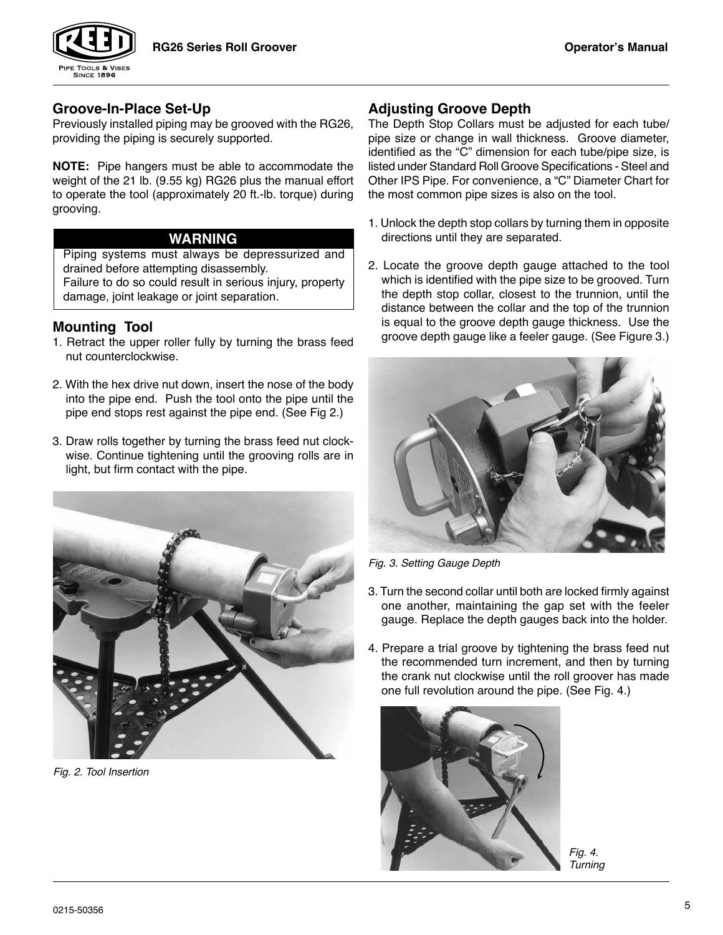

#### **Groove-In-Place Set-Up**

Previously installed piping may be grooved with the RG26, providing the piping is securely supported.

**NOTE:** Pipe hangers must be able to accommodate the weight of the 21 lb. (9.55 kg) RG26 plus the manual effort to operate the tool (approximately 20 ft.-lb. torque) during grooving.

#### **WARNING**

Piping systems must always be depressurized and drained before attempting disassembly. Failure to do so could result in serious injury, property damage, joint leakage or joint separation.

#### **Mounting Tool**

- 1. Retract the upper roller fully by turning the brass feed nut counterclockwise.
- 2. With the hex drive nut down, insert the nose of the body into the pipe end. Push the tool onto the pipe until the pipe end stops rest against the pipe end. (See Fig 2.)
- 3. Draw rolls together by turning the brass feed nut clockwise. Continue tightening until the grooving rolls are in light, but firm contact with the pipe.



*Fig. 2. Tool Insertion*

#### **Adjusting Groove Depth**

The Depth Stop Collars must be adjusted for each tube/ pipe size or change in wall thickness. Groove diameter, identified as the "C" dimension for each tube/pipe size, is listed under Standard Roll Groove Specifications - Steel and Other IPS Pipe. For convenience, a "C" Diameter Chart for the most common pipe sizes is also on the tool.

- 1. Unlock the depth stop collars by turning them in opposite directions until they are separated.
- 2. Locate the groove depth gauge attached to the tool which is identified with the pipe size to be grooved. Turn the depth stop collar, closest to the trunnion, until the distance between the collar and the top of the trunnion is equal to the groove depth gauge thickness. Use the groove depth gauge like a feeler gauge. (See Figure 3.)



*Fig. 3. Setting Gauge Depth*

- 3. Turn the second collar until both are locked firmly against one another, maintaining the gap set with the feeler gauge. Replace the depth gauges back into the holder.
- 4. Prepare a trial groove by tightening the brass feed nut the recommended turn increment, and then by turning the crank nut clockwise until the roll groover has made one full revolution around the pipe. (See Fig. 4.)



*Fig. 4. Turning*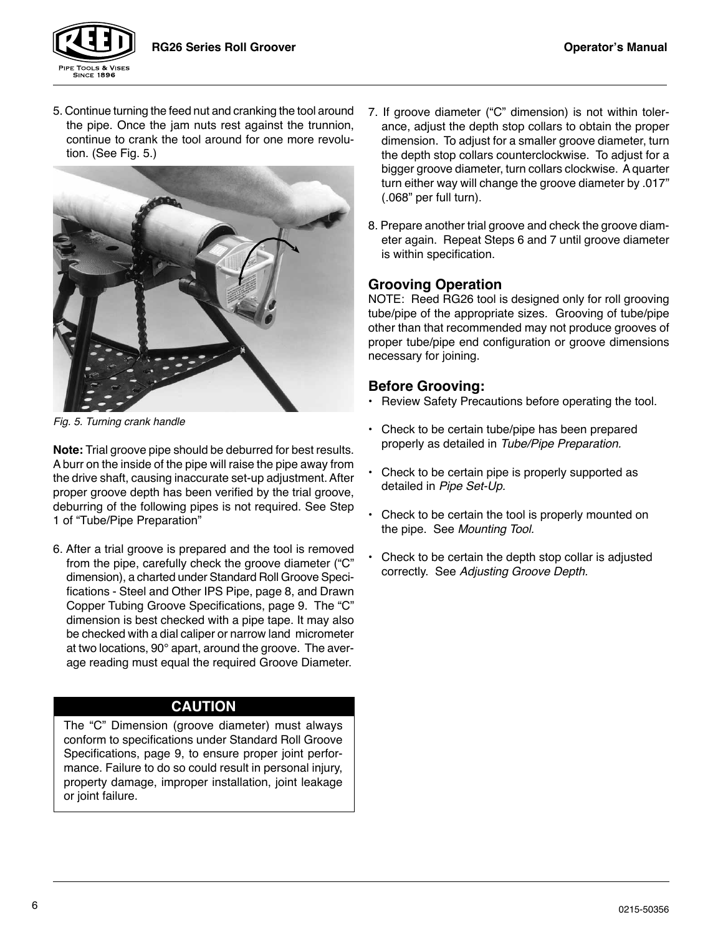



5. Continue turning the feed nut and cranking the tool around the pipe. Once the jam nuts rest against the trunnion, continue to crank the tool around for one more revolution. (See Fig. 5.)



*Fig. 5. Turning crank handle*

**Note:** Trial groove pipe should be deburred for best results. A burr on the inside of the pipe will raise the pipe away from the drive shaft, causing inaccurate set-up adjustment. After proper groove depth has been verified by the trial groove, deburring of the following pipes is not required. See Step 1 of "Tube/Pipe Preparation"

6. After a trial groove is prepared and the tool is removed from the pipe, carefully check the groove diameter ("C" dimension), a charted under Standard Roll Groove Specifications - Steel and Other IPS Pipe, page 8, and Drawn Copper Tubing Groove Specifications, page 9. The "C" dimension is best checked with a pipe tape. It may also be checked with a dial caliper or narrow land micrometer at two locations, 90° apart, around the groove. The average reading must equal the required Groove Diameter.

# **CAUTION**

The "C" Dimension (groove diameter) must always conform to specifications under Standard Roll Groove Specifications, page 9, to ensure proper joint performance. Failure to do so could result in personal injury, property damage, improper installation, joint leakage or joint failure.

- 7. If groove diameter ("C" dimension) is not within tolerance, adjust the depth stop collars to obtain the proper dimension. To adjust for a smaller groove diameter, turn the depth stop collars counterclockwise. To adjust for a bigger groove diameter, turn collars clockwise. A quarter turn either way will change the groove diameter by .017" (.068" per full turn).
- 8. Prepare another trial groove and check the groove diameter again. Repeat Steps 6 and 7 until groove diameter is within specification.

### **Grooving Operation**

NOTE: Reed RG26 tool is designed only for roll grooving tube/pipe of the appropriate sizes. Grooving of tube/pipe other than that recommended may not produce grooves of proper tube/pipe end configuration or groove dimensions necessary for joining.

#### **Before Grooving:**

- Review Safety Precautions before operating the tool.
- Check to be certain tube/pipe has been prepared properly as detailed in *Tube/Pipe Preparation.*
- Check to be certain pipe is properly supported as detailed in *Pipe Set-Up.*
- Check to be certain the tool is properly mounted on the pipe. See *Mounting Tool.*
- Check to be certain the depth stop collar is adjusted correctly. See *Adjusting Groove Depth.*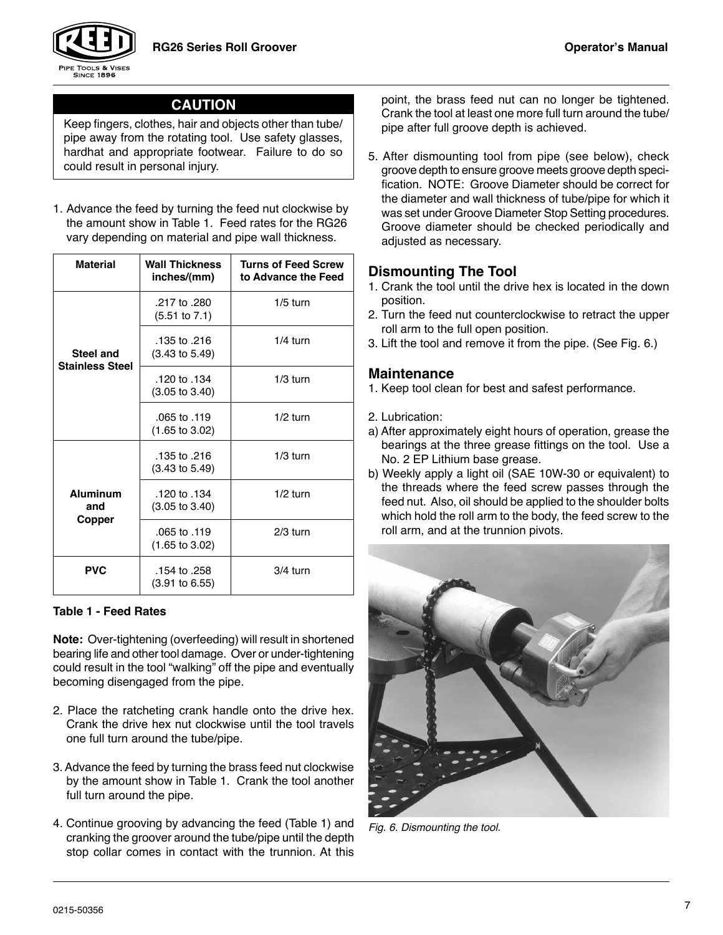



#### **CAUTION**

Keep fingers, clothes, hair and objects other than tube/ pipe away from the rotating tool. Use safety glasses, hardhat and appropriate footwear. Failure to do so could result in personal injury.

1. Advance the feed by turning the feed nut clockwise by the amount show in Table 1. Feed rates for the RG26 vary depending on material and pipe wall thickness.

| <b>Material</b>                     | Wall Thickness<br>inches/(mm)                 | <b>Turns of Feed Screw</b><br>to Advance the Feed |
|-------------------------------------|-----------------------------------------------|---------------------------------------------------|
|                                     | .217 to .280<br>$(5.51 \text{ to } 7.1)$      | $1/5$ turn                                        |
| Steel and<br><b>Stainless Steel</b> | .135 to .216<br>$(3.43 \text{ to } 5.49)$     | $1/4$ turn                                        |
|                                     | .120 to .134<br>$(3.05 \text{ to } 3.40)$     | $1/3$ turn                                        |
|                                     | .065 to .119<br>$(1.65 \text{ to } 3.02)$     | $1/2$ turn                                        |
|                                     | .135 to .216<br>$(3.43 \text{ to } 5.49)$     | $1/3$ turn                                        |
| <b>Aluminum</b><br>and              | .120 to .134<br>$(3.05 \text{ to } 3.40)$     | $1/2$ turn                                        |
| Copper                              | $.065$ to $.119$<br>$(1.65 \text{ to } 3.02)$ | $2/3$ turn                                        |
| <b>PVC</b>                          | .154 to .258<br>$(3.91 \text{ to } 6.55)$     | $3/4$ turn                                        |

#### **Table 1 - Feed Rates**

**Note:** Over-tightening (overfeeding) will result in shortened bearing life and other tool damage. Over or under-tightening could result in the tool "walking" off the pipe and eventually becoming disengaged from the pipe.

- 2. Place the ratcheting crank handle onto the drive hex. Crank the drive hex nut clockwise until the tool travels one full turn around the tube/pipe.
- 3. Advance the feed by turning the brass feed nut clockwise by the amount show in Table 1. Crank the tool another full turn around the pipe.
- 4. Continue grooving by advancing the feed (Table 1) and cranking the groover around the tube/pipe until the depth stop collar comes in contact with the trunnion. At this

point, the brass feed nut can no longer be tightened. Crank the tool at least one more full turn around the tube/ pipe after full groove depth is achieved.

5. After dismounting tool from pipe (see below), check groove depth to ensure groove meets groove depth specification. NOTE: Groove Diameter should be correct for the diameter and wall thickness of tube/pipe for which it was set under Groove Diameter Stop Setting procedures. Groove diameter should be checked periodically and adjusted as necessary.

#### **Dismounting The Tool**

- 1. Crank the tool until the drive hex is located in the down position.
- 2. Turn the feed nut counterclockwise to retract the upper roll arm to the full open position.
- 3. Lift the tool and remove it from the pipe. (See Fig. 6.)

#### **Maintenance**

- 1. Keep tool clean for best and safest performance.
- 2. Lubrication:
- a) After approximately eight hours of operation, grease the bearings at the three grease fittings on the tool. Use a No. 2 EP Lithium base grease.
- b) Weekly apply a light oil (SAE 10W-30 or equivalent) to the threads where the feed screw passes through the feed nut. Also, oil should be applied to the shoulder bolts which hold the roll arm to the body, the feed screw to the roll arm, and at the trunnion pivots.



*Fig. 6. Dismounting the tool.*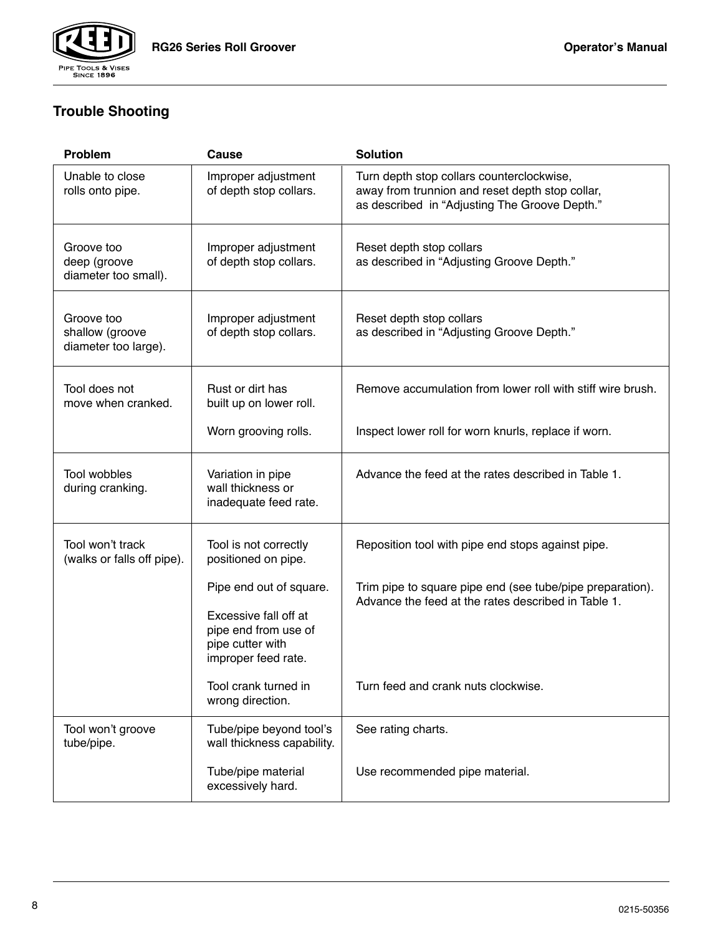

# **Trouble Shooting**

| Problem                                                                              | Cause                                                                                                               | <b>Solution</b>                                                                                                                               |
|--------------------------------------------------------------------------------------|---------------------------------------------------------------------------------------------------------------------|-----------------------------------------------------------------------------------------------------------------------------------------------|
| Unable to close<br>Improper adjustment<br>of depth stop collars.<br>rolls onto pipe. |                                                                                                                     | Turn depth stop collars counterclockwise,<br>away from trunnion and reset depth stop collar,<br>as described in "Adjusting The Groove Depth." |
| Groove too<br>deep (groove<br>diameter too small).                                   | Improper adjustment<br>of depth stop collars.                                                                       | Reset depth stop collars<br>as described in "Adjusting Groove Depth."                                                                         |
| Groove too<br>shallow (groove<br>diameter too large).                                | Improper adjustment<br>of depth stop collars.                                                                       | Reset depth stop collars<br>as described in "Adjusting Groove Depth."                                                                         |
| Tool does not<br>move when cranked.                                                  | Rust or dirt has<br>built up on lower roll.                                                                         | Remove accumulation from lower roll with stiff wire brush.                                                                                    |
|                                                                                      | Worn grooving rolls.                                                                                                | Inspect lower roll for worn knurls, replace if worn.                                                                                          |
| Tool wobbles<br>during cranking.                                                     | Variation in pipe<br>wall thickness or<br>inadequate feed rate.                                                     | Advance the feed at the rates described in Table 1.                                                                                           |
| Tool won't track<br>(walks or falls off pipe).                                       | Tool is not correctly<br>positioned on pipe.                                                                        | Reposition tool with pipe end stops against pipe.                                                                                             |
|                                                                                      | Pipe end out of square.<br>Excessive fall off at<br>pipe end from use of<br>pipe cutter with<br>improper feed rate. | Trim pipe to square pipe end (see tube/pipe preparation).<br>Advance the feed at the rates described in Table 1.                              |
|                                                                                      | Tool crank turned in<br>wrong direction.                                                                            | Turn feed and crank nuts clockwise.                                                                                                           |
| Tool won't groove<br>tube/pipe.                                                      | Tube/pipe beyond tool's<br>wall thickness capability.                                                               | See rating charts.                                                                                                                            |
|                                                                                      | Tube/pipe material<br>excessively hard.                                                                             | Use recommended pipe material.                                                                                                                |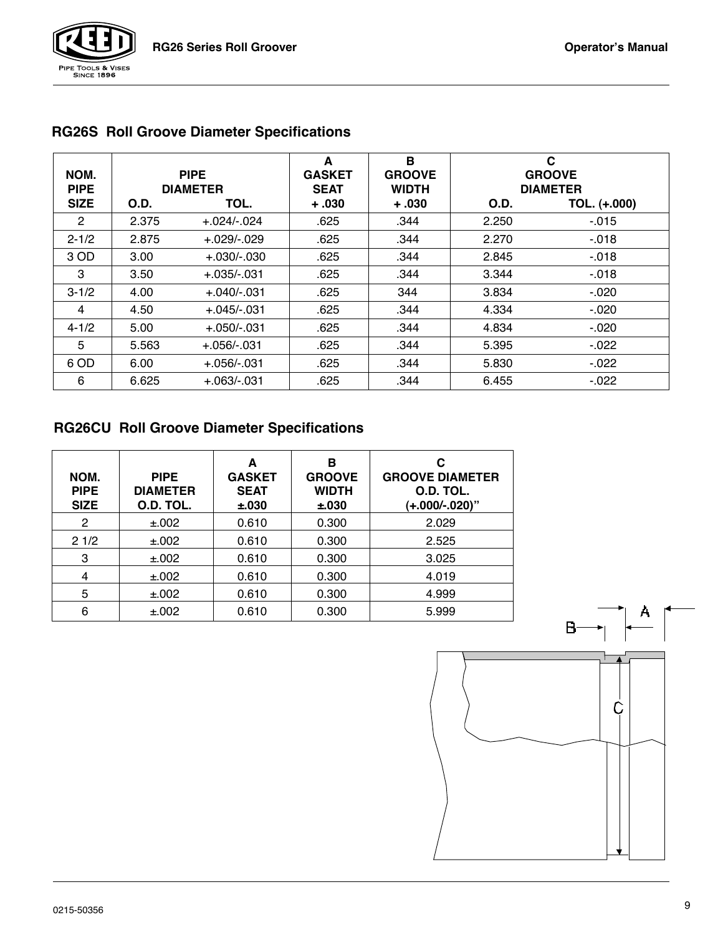

# **RG26S Roll Groove Diameter Specifications**

| NOM.<br><b>PIPE</b> | <b>PIPE</b><br><b>DIAMETER</b> |               | A<br><b>GASKET</b><br><b>SEAT</b> | B<br><b>GROOVE</b><br><b>WIDTH</b> |             | C<br><b>GROOVE</b><br><b>DIAMETER</b> |
|---------------------|--------------------------------|---------------|-----------------------------------|------------------------------------|-------------|---------------------------------------|
| <b>SIZE</b>         | <b>O.D.</b>                    | TOL.          | $+ .030$                          | $+.030$                            | <b>O.D.</b> | TOL. (+.000)                          |
| 2                   | 2.375                          | $+.024/-.024$ | .625                              | .344                               | 2.250       | $-015$                                |
| $2 - 1/2$           | 2.875                          | $+.029-.029$  | .625                              | .344                               | 2.270       | $-.018$                               |
| 3 OD                | 3.00                           | $+.030-.030$  | .625                              | .344                               | 2.845       | $-0.018$                              |
| 3                   | 3.50                           | $+.035-.031$  | .625                              | .344                               | 3.344       | $-.018$                               |
| $3 - 1/2$           | 4.00                           | $+.040/-031$  | .625                              | 344                                | 3.834       | $-0.020$                              |
| 4                   | 4.50                           | $+.045-.031$  | .625                              | .344                               | 4.334       | $-.020$                               |
| $4 - 1/2$           | 5.00                           | $+.050/-031$  | .625                              | .344                               | 4.834       | $-.020$                               |
| 5                   | 5.563                          | $+.056-.031$  | .625                              | .344                               | 5.395       | $-.022$                               |
| 6 OD                | 6.00                           | $+.056/-.031$ | .625                              | .344                               | 5.830       | $-.022$                               |
| 6                   | 6.625                          | +.063/-.031   | .625                              | .344                               | 6.455       | $-.022$                               |

# **RG26CU Roll Groove Diameter Specifications**

| NOM.<br><b>PIPE</b><br><b>SIZE</b> | <b>PIPE</b><br><b>DIAMETER</b><br><b>O.D. TOL.</b> | A<br><b>GASKET</b><br><b>SEAT</b><br>$\pm 0.030$ | в<br><b>GROOVE</b><br><b>WIDTH</b><br>±.030 | С<br><b>GROOVE DIAMETER</b><br><b>O.D. TOL.</b><br>(+.000/-.020)" |
|------------------------------------|----------------------------------------------------|--------------------------------------------------|---------------------------------------------|-------------------------------------------------------------------|
| 2                                  | ±.002                                              | 0.610                                            | 0.300                                       | 2.029                                                             |
| 21/2                               | $\pm .002$                                         | 0.610                                            | 0.300                                       | 2.525                                                             |
| 3                                  | ±.002                                              | 0.610                                            | 0.300                                       | 3.025                                                             |
| 4                                  | ±.002                                              | 0.610                                            | 0.300                                       | 4.019                                                             |
| 5                                  | ±.002                                              | 0.610                                            | 0.300                                       | 4.999                                                             |
| 6                                  | ±.002                                              | 0.610                                            | 0.300                                       | 5.999                                                             |

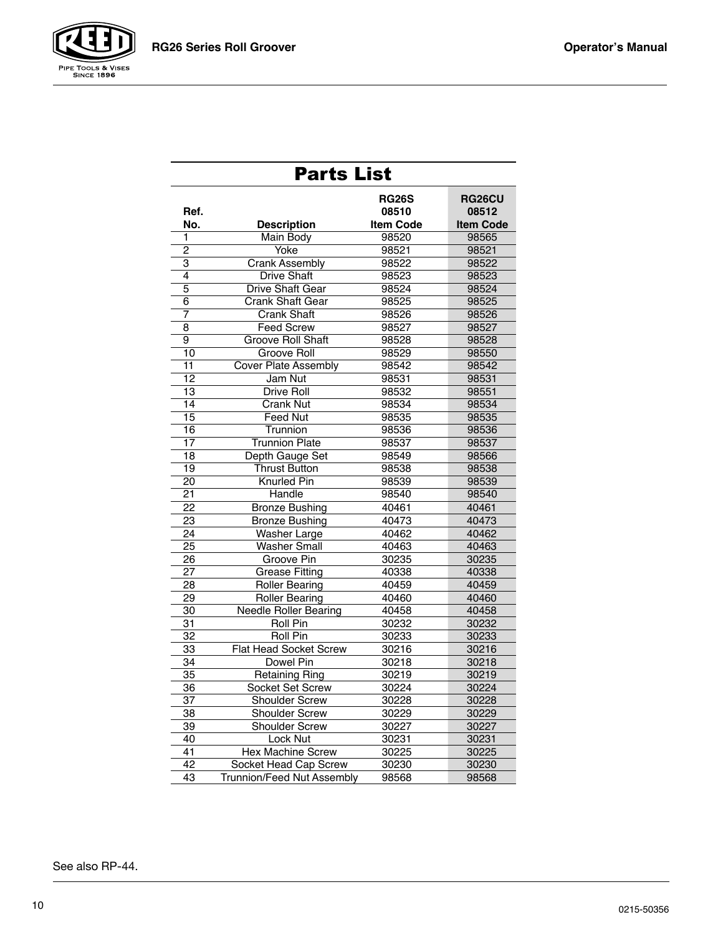

| <b>RG26S</b><br><b>RG26CU</b><br>08510<br>Ref.<br>08512<br><b>Description</b><br><b>Item Code</b><br><b>Item Code</b><br>No.<br><b>Main Body</b><br>98520<br>98565<br>1<br>2<br>Yoke<br>98521<br>98521<br>3<br><b>Crank Assembly</b><br>98522<br>98522<br>4<br><b>Drive Shaft</b><br>98523<br>98523<br>$\overline{5}$<br><b>Drive Shaft Gear</b><br>98524<br>98524<br>6<br><b>Crank Shaft Gear</b><br>98525<br>98525<br>$\overline{7}$<br><b>Crank Shaft</b><br>98526<br>98526<br><b>Feed Screw</b><br>98527<br>8<br>98527<br>9<br><b>Groove Roll Shaft</b><br>98528<br>98528<br>10<br>98529<br>Groove Roll<br>98550<br>11<br><b>Cover Plate Assembly</b><br>98542<br>98542<br>12<br>Jam Nut<br>98531<br>98531<br>$\overline{13}$<br><b>Drive Roll</b><br>98532<br>98551<br>98534<br>14<br><b>Crank Nut</b><br>98534<br>$\overline{15}$<br><b>Feed Nut</b><br>98535<br>98535<br>16<br>Trunnion<br>98536<br>98536<br>17<br><b>Trunnion Plate</b><br>98537<br>98537<br>18<br>Depth Gauge Set<br>98549<br>98566<br>19<br><b>Thrust Button</b><br>98538<br>98538<br><b>Knurled Pin</b><br>20<br>98539<br>98539<br>21<br>Handle<br>98540<br>98540<br>22<br>40461<br><b>Bronze Bushing</b><br>40461<br>23<br><b>Bronze Bushing</b><br>40473<br>40473<br>24<br>40462<br>40462<br>Washer Large<br>25<br><b>Washer Small</b><br>40463<br>40463<br>26<br>Groove Pin<br>30235<br>30235<br>27<br>40338<br>40338<br>Grease Fitting<br>28<br><b>Roller Bearing</b><br>40459<br>40459<br>29<br><b>Roller Bearing</b><br>40460<br>40460<br>30<br>40458<br><b>Needle Roller Bearing</b><br>40458<br>31<br>Roll Pin<br>30232<br>30232<br>32<br>Roll Pin<br>30233<br>30233<br>Flat Head Socket Screw<br>33<br>30216<br>30216<br>34<br>Dowel Pin<br>30218<br>30218<br>35<br><b>Retaining Ring</b><br>30219<br>30219<br>Socket Set Screw<br>36<br>30224<br>30224<br><b>Shoulder Screw</b><br>37<br>30228<br>30228<br>Shoulder Screw<br>38<br>30229<br>30229<br>39<br>Shoulder Screw<br>30227<br>30227<br>Lock Nut<br>40<br>30231<br>30231<br>41<br><b>Hex Machine Screw</b><br>30225<br>30225<br>42<br>Socket Head Cap Screw<br>30230<br>30230<br>43<br>Trunnion/Feed Nut Assembly<br>98568<br>98568 | <b>Parts List</b> |  |  |  |  |  |
|---------------------------------------------------------------------------------------------------------------------------------------------------------------------------------------------------------------------------------------------------------------------------------------------------------------------------------------------------------------------------------------------------------------------------------------------------------------------------------------------------------------------------------------------------------------------------------------------------------------------------------------------------------------------------------------------------------------------------------------------------------------------------------------------------------------------------------------------------------------------------------------------------------------------------------------------------------------------------------------------------------------------------------------------------------------------------------------------------------------------------------------------------------------------------------------------------------------------------------------------------------------------------------------------------------------------------------------------------------------------------------------------------------------------------------------------------------------------------------------------------------------------------------------------------------------------------------------------------------------------------------------------------------------------------------------------------------------------------------------------------------------------------------------------------------------------------------------------------------------------------------------------------------------------------------------------------------------------------------------------------------------------------------------------------------------------------------------------------------------------------------------------------------------------------------|-------------------|--|--|--|--|--|
|                                                                                                                                                                                                                                                                                                                                                                                                                                                                                                                                                                                                                                                                                                                                                                                                                                                                                                                                                                                                                                                                                                                                                                                                                                                                                                                                                                                                                                                                                                                                                                                                                                                                                                                                                                                                                                                                                                                                                                                                                                                                                                                                                                                 |                   |  |  |  |  |  |
|                                                                                                                                                                                                                                                                                                                                                                                                                                                                                                                                                                                                                                                                                                                                                                                                                                                                                                                                                                                                                                                                                                                                                                                                                                                                                                                                                                                                                                                                                                                                                                                                                                                                                                                                                                                                                                                                                                                                                                                                                                                                                                                                                                                 |                   |  |  |  |  |  |
|                                                                                                                                                                                                                                                                                                                                                                                                                                                                                                                                                                                                                                                                                                                                                                                                                                                                                                                                                                                                                                                                                                                                                                                                                                                                                                                                                                                                                                                                                                                                                                                                                                                                                                                                                                                                                                                                                                                                                                                                                                                                                                                                                                                 |                   |  |  |  |  |  |
|                                                                                                                                                                                                                                                                                                                                                                                                                                                                                                                                                                                                                                                                                                                                                                                                                                                                                                                                                                                                                                                                                                                                                                                                                                                                                                                                                                                                                                                                                                                                                                                                                                                                                                                                                                                                                                                                                                                                                                                                                                                                                                                                                                                 |                   |  |  |  |  |  |
|                                                                                                                                                                                                                                                                                                                                                                                                                                                                                                                                                                                                                                                                                                                                                                                                                                                                                                                                                                                                                                                                                                                                                                                                                                                                                                                                                                                                                                                                                                                                                                                                                                                                                                                                                                                                                                                                                                                                                                                                                                                                                                                                                                                 |                   |  |  |  |  |  |
|                                                                                                                                                                                                                                                                                                                                                                                                                                                                                                                                                                                                                                                                                                                                                                                                                                                                                                                                                                                                                                                                                                                                                                                                                                                                                                                                                                                                                                                                                                                                                                                                                                                                                                                                                                                                                                                                                                                                                                                                                                                                                                                                                                                 |                   |  |  |  |  |  |
|                                                                                                                                                                                                                                                                                                                                                                                                                                                                                                                                                                                                                                                                                                                                                                                                                                                                                                                                                                                                                                                                                                                                                                                                                                                                                                                                                                                                                                                                                                                                                                                                                                                                                                                                                                                                                                                                                                                                                                                                                                                                                                                                                                                 |                   |  |  |  |  |  |
|                                                                                                                                                                                                                                                                                                                                                                                                                                                                                                                                                                                                                                                                                                                                                                                                                                                                                                                                                                                                                                                                                                                                                                                                                                                                                                                                                                                                                                                                                                                                                                                                                                                                                                                                                                                                                                                                                                                                                                                                                                                                                                                                                                                 |                   |  |  |  |  |  |
|                                                                                                                                                                                                                                                                                                                                                                                                                                                                                                                                                                                                                                                                                                                                                                                                                                                                                                                                                                                                                                                                                                                                                                                                                                                                                                                                                                                                                                                                                                                                                                                                                                                                                                                                                                                                                                                                                                                                                                                                                                                                                                                                                                                 |                   |  |  |  |  |  |
|                                                                                                                                                                                                                                                                                                                                                                                                                                                                                                                                                                                                                                                                                                                                                                                                                                                                                                                                                                                                                                                                                                                                                                                                                                                                                                                                                                                                                                                                                                                                                                                                                                                                                                                                                                                                                                                                                                                                                                                                                                                                                                                                                                                 |                   |  |  |  |  |  |
|                                                                                                                                                                                                                                                                                                                                                                                                                                                                                                                                                                                                                                                                                                                                                                                                                                                                                                                                                                                                                                                                                                                                                                                                                                                                                                                                                                                                                                                                                                                                                                                                                                                                                                                                                                                                                                                                                                                                                                                                                                                                                                                                                                                 |                   |  |  |  |  |  |
|                                                                                                                                                                                                                                                                                                                                                                                                                                                                                                                                                                                                                                                                                                                                                                                                                                                                                                                                                                                                                                                                                                                                                                                                                                                                                                                                                                                                                                                                                                                                                                                                                                                                                                                                                                                                                                                                                                                                                                                                                                                                                                                                                                                 |                   |  |  |  |  |  |
|                                                                                                                                                                                                                                                                                                                                                                                                                                                                                                                                                                                                                                                                                                                                                                                                                                                                                                                                                                                                                                                                                                                                                                                                                                                                                                                                                                                                                                                                                                                                                                                                                                                                                                                                                                                                                                                                                                                                                                                                                                                                                                                                                                                 |                   |  |  |  |  |  |
|                                                                                                                                                                                                                                                                                                                                                                                                                                                                                                                                                                                                                                                                                                                                                                                                                                                                                                                                                                                                                                                                                                                                                                                                                                                                                                                                                                                                                                                                                                                                                                                                                                                                                                                                                                                                                                                                                                                                                                                                                                                                                                                                                                                 |                   |  |  |  |  |  |
|                                                                                                                                                                                                                                                                                                                                                                                                                                                                                                                                                                                                                                                                                                                                                                                                                                                                                                                                                                                                                                                                                                                                                                                                                                                                                                                                                                                                                                                                                                                                                                                                                                                                                                                                                                                                                                                                                                                                                                                                                                                                                                                                                                                 |                   |  |  |  |  |  |
|                                                                                                                                                                                                                                                                                                                                                                                                                                                                                                                                                                                                                                                                                                                                                                                                                                                                                                                                                                                                                                                                                                                                                                                                                                                                                                                                                                                                                                                                                                                                                                                                                                                                                                                                                                                                                                                                                                                                                                                                                                                                                                                                                                                 |                   |  |  |  |  |  |
|                                                                                                                                                                                                                                                                                                                                                                                                                                                                                                                                                                                                                                                                                                                                                                                                                                                                                                                                                                                                                                                                                                                                                                                                                                                                                                                                                                                                                                                                                                                                                                                                                                                                                                                                                                                                                                                                                                                                                                                                                                                                                                                                                                                 |                   |  |  |  |  |  |
|                                                                                                                                                                                                                                                                                                                                                                                                                                                                                                                                                                                                                                                                                                                                                                                                                                                                                                                                                                                                                                                                                                                                                                                                                                                                                                                                                                                                                                                                                                                                                                                                                                                                                                                                                                                                                                                                                                                                                                                                                                                                                                                                                                                 |                   |  |  |  |  |  |
|                                                                                                                                                                                                                                                                                                                                                                                                                                                                                                                                                                                                                                                                                                                                                                                                                                                                                                                                                                                                                                                                                                                                                                                                                                                                                                                                                                                                                                                                                                                                                                                                                                                                                                                                                                                                                                                                                                                                                                                                                                                                                                                                                                                 |                   |  |  |  |  |  |
|                                                                                                                                                                                                                                                                                                                                                                                                                                                                                                                                                                                                                                                                                                                                                                                                                                                                                                                                                                                                                                                                                                                                                                                                                                                                                                                                                                                                                                                                                                                                                                                                                                                                                                                                                                                                                                                                                                                                                                                                                                                                                                                                                                                 |                   |  |  |  |  |  |
|                                                                                                                                                                                                                                                                                                                                                                                                                                                                                                                                                                                                                                                                                                                                                                                                                                                                                                                                                                                                                                                                                                                                                                                                                                                                                                                                                                                                                                                                                                                                                                                                                                                                                                                                                                                                                                                                                                                                                                                                                                                                                                                                                                                 |                   |  |  |  |  |  |
|                                                                                                                                                                                                                                                                                                                                                                                                                                                                                                                                                                                                                                                                                                                                                                                                                                                                                                                                                                                                                                                                                                                                                                                                                                                                                                                                                                                                                                                                                                                                                                                                                                                                                                                                                                                                                                                                                                                                                                                                                                                                                                                                                                                 |                   |  |  |  |  |  |
|                                                                                                                                                                                                                                                                                                                                                                                                                                                                                                                                                                                                                                                                                                                                                                                                                                                                                                                                                                                                                                                                                                                                                                                                                                                                                                                                                                                                                                                                                                                                                                                                                                                                                                                                                                                                                                                                                                                                                                                                                                                                                                                                                                                 |                   |  |  |  |  |  |
|                                                                                                                                                                                                                                                                                                                                                                                                                                                                                                                                                                                                                                                                                                                                                                                                                                                                                                                                                                                                                                                                                                                                                                                                                                                                                                                                                                                                                                                                                                                                                                                                                                                                                                                                                                                                                                                                                                                                                                                                                                                                                                                                                                                 |                   |  |  |  |  |  |
|                                                                                                                                                                                                                                                                                                                                                                                                                                                                                                                                                                                                                                                                                                                                                                                                                                                                                                                                                                                                                                                                                                                                                                                                                                                                                                                                                                                                                                                                                                                                                                                                                                                                                                                                                                                                                                                                                                                                                                                                                                                                                                                                                                                 |                   |  |  |  |  |  |
|                                                                                                                                                                                                                                                                                                                                                                                                                                                                                                                                                                                                                                                                                                                                                                                                                                                                                                                                                                                                                                                                                                                                                                                                                                                                                                                                                                                                                                                                                                                                                                                                                                                                                                                                                                                                                                                                                                                                                                                                                                                                                                                                                                                 |                   |  |  |  |  |  |
|                                                                                                                                                                                                                                                                                                                                                                                                                                                                                                                                                                                                                                                                                                                                                                                                                                                                                                                                                                                                                                                                                                                                                                                                                                                                                                                                                                                                                                                                                                                                                                                                                                                                                                                                                                                                                                                                                                                                                                                                                                                                                                                                                                                 |                   |  |  |  |  |  |
|                                                                                                                                                                                                                                                                                                                                                                                                                                                                                                                                                                                                                                                                                                                                                                                                                                                                                                                                                                                                                                                                                                                                                                                                                                                                                                                                                                                                                                                                                                                                                                                                                                                                                                                                                                                                                                                                                                                                                                                                                                                                                                                                                                                 |                   |  |  |  |  |  |
|                                                                                                                                                                                                                                                                                                                                                                                                                                                                                                                                                                                                                                                                                                                                                                                                                                                                                                                                                                                                                                                                                                                                                                                                                                                                                                                                                                                                                                                                                                                                                                                                                                                                                                                                                                                                                                                                                                                                                                                                                                                                                                                                                                                 |                   |  |  |  |  |  |
|                                                                                                                                                                                                                                                                                                                                                                                                                                                                                                                                                                                                                                                                                                                                                                                                                                                                                                                                                                                                                                                                                                                                                                                                                                                                                                                                                                                                                                                                                                                                                                                                                                                                                                                                                                                                                                                                                                                                                                                                                                                                                                                                                                                 |                   |  |  |  |  |  |
|                                                                                                                                                                                                                                                                                                                                                                                                                                                                                                                                                                                                                                                                                                                                                                                                                                                                                                                                                                                                                                                                                                                                                                                                                                                                                                                                                                                                                                                                                                                                                                                                                                                                                                                                                                                                                                                                                                                                                                                                                                                                                                                                                                                 |                   |  |  |  |  |  |
|                                                                                                                                                                                                                                                                                                                                                                                                                                                                                                                                                                                                                                                                                                                                                                                                                                                                                                                                                                                                                                                                                                                                                                                                                                                                                                                                                                                                                                                                                                                                                                                                                                                                                                                                                                                                                                                                                                                                                                                                                                                                                                                                                                                 |                   |  |  |  |  |  |
|                                                                                                                                                                                                                                                                                                                                                                                                                                                                                                                                                                                                                                                                                                                                                                                                                                                                                                                                                                                                                                                                                                                                                                                                                                                                                                                                                                                                                                                                                                                                                                                                                                                                                                                                                                                                                                                                                                                                                                                                                                                                                                                                                                                 |                   |  |  |  |  |  |
|                                                                                                                                                                                                                                                                                                                                                                                                                                                                                                                                                                                                                                                                                                                                                                                                                                                                                                                                                                                                                                                                                                                                                                                                                                                                                                                                                                                                                                                                                                                                                                                                                                                                                                                                                                                                                                                                                                                                                                                                                                                                                                                                                                                 |                   |  |  |  |  |  |
|                                                                                                                                                                                                                                                                                                                                                                                                                                                                                                                                                                                                                                                                                                                                                                                                                                                                                                                                                                                                                                                                                                                                                                                                                                                                                                                                                                                                                                                                                                                                                                                                                                                                                                                                                                                                                                                                                                                                                                                                                                                                                                                                                                                 |                   |  |  |  |  |  |
|                                                                                                                                                                                                                                                                                                                                                                                                                                                                                                                                                                                                                                                                                                                                                                                                                                                                                                                                                                                                                                                                                                                                                                                                                                                                                                                                                                                                                                                                                                                                                                                                                                                                                                                                                                                                                                                                                                                                                                                                                                                                                                                                                                                 |                   |  |  |  |  |  |
|                                                                                                                                                                                                                                                                                                                                                                                                                                                                                                                                                                                                                                                                                                                                                                                                                                                                                                                                                                                                                                                                                                                                                                                                                                                                                                                                                                                                                                                                                                                                                                                                                                                                                                                                                                                                                                                                                                                                                                                                                                                                                                                                                                                 |                   |  |  |  |  |  |
|                                                                                                                                                                                                                                                                                                                                                                                                                                                                                                                                                                                                                                                                                                                                                                                                                                                                                                                                                                                                                                                                                                                                                                                                                                                                                                                                                                                                                                                                                                                                                                                                                                                                                                                                                                                                                                                                                                                                                                                                                                                                                                                                                                                 |                   |  |  |  |  |  |
|                                                                                                                                                                                                                                                                                                                                                                                                                                                                                                                                                                                                                                                                                                                                                                                                                                                                                                                                                                                                                                                                                                                                                                                                                                                                                                                                                                                                                                                                                                                                                                                                                                                                                                                                                                                                                                                                                                                                                                                                                                                                                                                                                                                 |                   |  |  |  |  |  |
|                                                                                                                                                                                                                                                                                                                                                                                                                                                                                                                                                                                                                                                                                                                                                                                                                                                                                                                                                                                                                                                                                                                                                                                                                                                                                                                                                                                                                                                                                                                                                                                                                                                                                                                                                                                                                                                                                                                                                                                                                                                                                                                                                                                 |                   |  |  |  |  |  |
|                                                                                                                                                                                                                                                                                                                                                                                                                                                                                                                                                                                                                                                                                                                                                                                                                                                                                                                                                                                                                                                                                                                                                                                                                                                                                                                                                                                                                                                                                                                                                                                                                                                                                                                                                                                                                                                                                                                                                                                                                                                                                                                                                                                 |                   |  |  |  |  |  |
|                                                                                                                                                                                                                                                                                                                                                                                                                                                                                                                                                                                                                                                                                                                                                                                                                                                                                                                                                                                                                                                                                                                                                                                                                                                                                                                                                                                                                                                                                                                                                                                                                                                                                                                                                                                                                                                                                                                                                                                                                                                                                                                                                                                 |                   |  |  |  |  |  |
|                                                                                                                                                                                                                                                                                                                                                                                                                                                                                                                                                                                                                                                                                                                                                                                                                                                                                                                                                                                                                                                                                                                                                                                                                                                                                                                                                                                                                                                                                                                                                                                                                                                                                                                                                                                                                                                                                                                                                                                                                                                                                                                                                                                 |                   |  |  |  |  |  |
|                                                                                                                                                                                                                                                                                                                                                                                                                                                                                                                                                                                                                                                                                                                                                                                                                                                                                                                                                                                                                                                                                                                                                                                                                                                                                                                                                                                                                                                                                                                                                                                                                                                                                                                                                                                                                                                                                                                                                                                                                                                                                                                                                                                 |                   |  |  |  |  |  |
|                                                                                                                                                                                                                                                                                                                                                                                                                                                                                                                                                                                                                                                                                                                                                                                                                                                                                                                                                                                                                                                                                                                                                                                                                                                                                                                                                                                                                                                                                                                                                                                                                                                                                                                                                                                                                                                                                                                                                                                                                                                                                                                                                                                 |                   |  |  |  |  |  |

See also RP-44.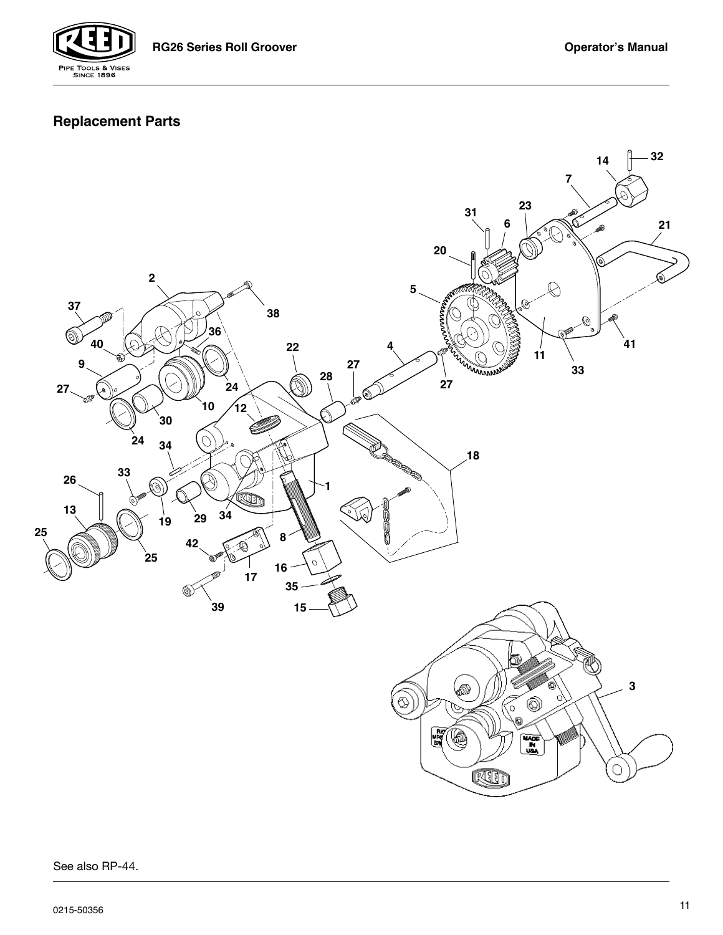



### **Replacement Parts**